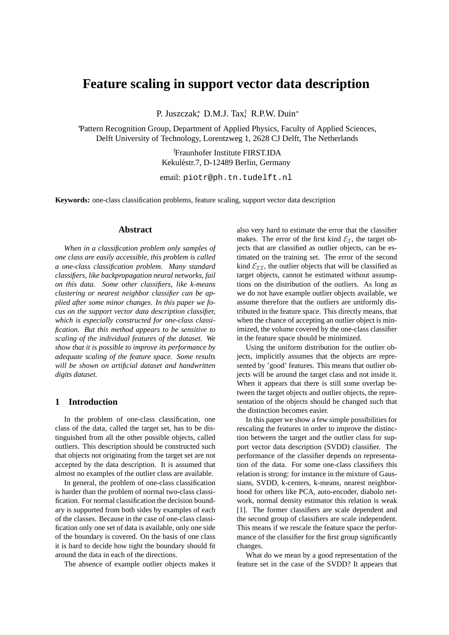# **Feature scaling in support vector data description**

P. Juszczak\*, D.M.J. Tax<sup>†</sup>, R.P.W. Duin<sup>\*</sup>

<sup>∗</sup>Pattern Recognition Group, Department of Applied Physics, Faculty of Applied Sciences, Delft University of Technology, Lorentzweg 1, 2628 CJ Delft, The Netherlands

> †Fraunhofer Institute FIRST.IDA Kekuléstr.7, D-12489 Berlin, Germany

email: piotr@ph.tn.tudelft.nl

**Keywords:** one-class classification problems, feature scaling, support vector data description

## **Abstract**

*When in a classification problem only samples of one class are easily accessible, this problem is called a one-class classification problem. Many standard classifiers, like backpropagation neural networks, fail on this data. Some other classifiers, like k-means clustering or nearest neighbor classifier can be applied after some minor changes. In this paper we focus on the support vector data description classifier, which is especially constructed for one-class classification. But this method appears to be sensitive to scaling of the individual features of the dataset. We show that it is possible to improve its performance by adequate scaling of the feature space. Some results will be shown on artificial dataset and handwritten digits dataset.*

### **1 Introduction**

In the problem of one-class classification, one class of the data, called the target set, has to be distinguished from all the other possible objects, called outliers. This description should be constructed such that objects not originating from the target set are not accepted by the data description. It is assumed that almost no examples of the outlier class are available.

In general, the problem of one-class classification is harder than the problem of normal two-class classification. For normal classification the decision boundary is supported from both sides by examples of each of the classes. Because in the case of one-class classification only one set of data is available, only one side of the boundary is covered. On the basis of one class it is hard to decide how tight the boundary should fit around the data in each of the directions.

The absence of example outlier objects makes it

also very hard to estimate the error that the classifier makes. The error of the first kind  $\mathcal{E}_{\mathcal{I}}$ , the target objects that are classified as outlier objects, can be estimated on the training set. The error of the second kind  $\mathcal{E}_{\mathcal{I}\mathcal{I}}$ , the outlier objects that will be classified as target objects, cannot be estimated without assumptions on the distribution of the outliers. As long as we do not have example outlier objects available, we assume therefore that the outliers are uniformly distributed in the feature space. This directly means, that when the chance of accepting an outlier object is minimized, the volume covered by the one-class classifier in the feature space should be minimized.

Using the uniform distribution for the outlier objects, implicitly assumes that the objects are represented by 'good' features. This means that outlier objects will be around the target class and not inside it. When it appears that there is still some overlap between the target objects and outlier objects, the representation of the objects should be changed such that the distinction becomes easier.

In this paper we show a few simple possibilities for rescaling the features in order to improve the distinction between the target and the outlier class for support vector data description (SVDD) classifier. The performance of the classifier depends on representation of the data. For some one-class classifiers this relation is strong: for instance in the mixture of Gaussians, SVDD, k-centers, k-means, nearest neighborhood for others like PCA, auto-encoder, diabolo network, normal density estimator this relation is weak [1]. The former classifiers are scale dependent and the second group of classifiers are scale independent. This means if we rescale the feature space the performance of the classifier for the first group significantly changes.

What do we mean by a good representation of the feature set in the case of the SVDD? It appears that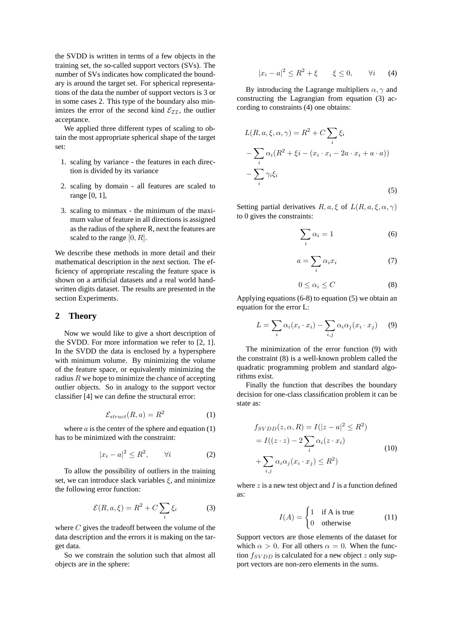the SVDD is written in terms of a few objects in the training set, the so-called support vectors (SVs). The number of SVs indicates how complicated the boundary is around the target set. For spherical representations of the data the number of support vectors is 3 or in some cases 2. This type of the boundary also minimizes the error of the second kind  $\mathcal{E}_{II}$ , the outlier acceptance.

We applied three different types of scaling to obtain the most appropriate spherical shape of the target set:

- 1. scaling by variance the features in each direction is divided by its variance
- 2. scaling by domain all features are scaled to range [0, 1],
- 3. scaling to minmax the minimum of the maximum value of feature in all directions is assigned as the radius of the sphere R, next the features are scaled to the range  $[0, R]$ .

We describe these methods in more detail and their mathematical description in the next section. The efficiency of appropriate rescaling the feature space is shown on a artificial datasets and a real world handwritten digits dataset. The results are presented in the section Experiments.

#### **2 Theory**

Now we would like to give a short description of the SVDD. For more information we refer to [2, 1]. In the SVDD the data is enclosed by a hypersphere with minimum volume. By minimizing the volume of the feature space, or equivalently minimizing the radius  $R$  we hope to minimize the chance of accepting outlier objects. So in analogy to the support vector classifier [4] we can define the structural error:

$$
\mathcal{E}_{struct}(R, a) = R^2 \tag{1}
$$

where  $a$  is the center of the sphere and equation  $(1)$ has to be minimized with the constraint:

$$
|x_i - a|^2 \le R^2, \qquad \forall i \tag{2}
$$

To allow the possibility of outliers in the training set, we can introduce slack variables  $\xi$ , and minimize the following error function:

$$
\mathcal{E}(R, a, \xi) = R^2 + C \sum_{i} \xi_i \tag{3}
$$

where  $C$  gives the tradeoff between the volume of the data description and the errors it is making on the target data.

So we constrain the solution such that almost all objects are in the sphere:

$$
|x_i - a|^2 \le R^2 + \xi \qquad \xi \le 0, \qquad \forall i \qquad (4)
$$

By introducing the Lagrange multipliers  $\alpha$ ,  $\gamma$  and constructing the Lagrangian from equation (3) according to constraints (4) one obtains:

$$
L(R, a, \xi, \alpha, \gamma) = R^2 + C \sum_{i} \xi_i
$$
  
-
$$
\sum_{i} \alpha_i (R^2 + \xi i - (x_i \cdot x_i - 2a \cdot x_i + a \cdot a))
$$
  
-
$$
\sum_{i} \gamma_i \xi_i
$$
 (5)

Setting partial derivatives  $R, a, \xi$  of  $L(R, a, \xi, \alpha, \gamma)$ to 0 gives the constraints:

$$
\sum_{i} \alpha_i = 1 \tag{6}
$$

$$
a = \sum_{i} \alpha_i x_i \tag{7}
$$

$$
0 \le \alpha_i \le C \tag{8}
$$

Applying equations (6-8) to equation (5) we obtain an equation for the error L:

$$
L = \sum_{i} \alpha_i (x_i \cdot x_i) - \sum_{i,j} \alpha_i \alpha_j (x_i \cdot x_j) \tag{9}
$$

The minimization of the error function (9) with the constraint (8) is a well-known problem called the quadratic programming problem and standard algorithms exist.

Finally the function that describes the boundary decision for one-class classification problem it can be state as:

$$
f_{SVDD}(z, \alpha, R) = I(|z - a|^2 \le R^2)
$$
  
=  $I((z \cdot z) - 2 \sum_{i} \alpha_i (z \cdot x_i)$   
+  $\sum_{i,j} \alpha_i \alpha_j (x_i \cdot x_j) \le R^2)$  (10)

where  $z$  is a new test object and  $I$  is a function defined as:

$$
I(A) = \begin{cases} 1 & \text{if A is true} \\ 0 & \text{otherwise} \end{cases}
$$
 (11)

Support vectors are those elements of the dataset for which  $\alpha > 0$ . For all others  $\alpha = 0$ . When the function  $f_{SVDD}$  is calculated for a new object z only support vectors are non-zero elements in the sums.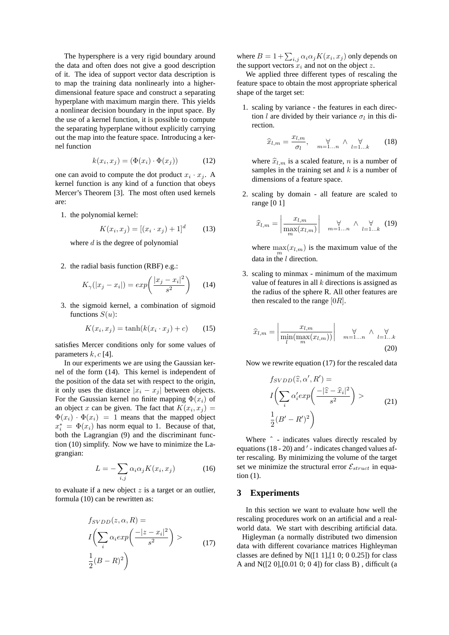The hypersphere is a very rigid boundary around the data and often does not give a good description of it. The idea of support vector data description is to map the training data nonlinearly into a higherdimensional feature space and construct a separating hyperplane with maximum margin there. This yields a nonlinear decision boundary in the input space. By the use of a kernel function, it is possible to compute the separating hyperplane without explicitly carrying out the map into the feature space. Introducing a kernel function

$$
k(x_i, x_j) = (\Phi(x_i) \cdot \Phi(x_j)) \tag{12}
$$

one can avoid to compute the dot product  $x_i \cdot x_j$ . A kernel function is any kind of a function that obeys Mercer's Theorem [3]. The most often used kernels are:

1. the polynomial kernel:

$$
K(x_i, x_j) = [(x_i \cdot x_j) + 1]^d \tag{13}
$$

where  $d$  is the degree of polynomial

2. the radial basis function (RBF) e.g.:

$$
K_{\gamma}(|x_j - x_i|) = exp\left(\frac{|x_j - x_i|^2}{s^2}\right) \quad (14)
$$

3. the sigmoid kernel, a combination of sigmoid functions  $S(u)$ :

$$
K(x_i, x_j) = \tanh(k(x_i \cdot x_j) + c) \tag{15}
$$

satisfies Mercer conditions only for some values of parameters  $k, c$  [4].

In our experiments we are using the Gaussian kernel of the form (14). This kernel is independent of the position of the data set with respect to the origin, it only uses the distance  $|x_i - x_j|$  between objects. For the Gaussian kernel no finite mapping  $\Phi(x_i)$  of an object x can be given. The fact that  $K(x_i, x_j) =$  $\Phi(x_i) \cdot \Phi(x_i) = 1$  means that the mapped object  $x_i^* = \Phi(x_i)$  has norm equal to 1. Because of that, both the Lagrangian (9) and the discriminant function (10) simplify. Now we have to minimize the Lagrangian:

$$
L = -\sum_{i,j} \alpha_i \alpha_j K(x_i, x_j) \tag{16}
$$

to evaluate if a new object  $z$  is a target or an outlier, formula (10) can be rewritten as:

$$
f_{SVDD}(z, \alpha, R) =
$$
  
\n
$$
I\left(\sum_{i} \alpha_{i} exp\left(\frac{-|z - x_{i}|^{2}}{s^{2}}\right) > \alpha_{i}
$$
  
\n
$$
\frac{1}{2}(B - R)^{2}\right)
$$
\n(17)

where  $B = 1 + \sum_{i,j} \alpha_i \alpha_j K(x_i, x_j)$  only depends on the support vectors  $x_i$  and not on the object z.

We applied three different types of rescaling the feature space to obtain the most appropriate spherical shape of the target set:

1. scaling by variance - the features in each direction l are divided by their variance  $\sigma_l$  in this direction.

$$
\widehat{x}_{l,m} = \frac{x_{l,m}}{\sigma_l}, \quad \forall \forall_{m=1...n} \wedge \forall_{l=1...k} \qquad (18)
$$

where  $\hat{x}_{l,m}$  is a scaled feature, n is a number of samples in the training set and  $k$  is a number of dimensions of a feature space.

2. scaling by domain - all feature are scaled to range [0 1]

$$
\widehat{x}_{l,m} = \left| \frac{x_{l,m}}{\max\limits_{m}(x_{l,m})} \right| \quad \forall \atop m=1...n \quad \wedge \quad \forall \atop l=1...k} \quad (19)
$$

where  $\max_{m}(x_{l,m})$  is the maximum value of the data in the  $l$  direction.

3. scaling to minmax - minimum of the maximum value of features in all  $k$  directions is assigned as the radius of the sphere R. All other features are then rescaled to the range  $[0R]$ .

$$
\widehat{x}_{l,m} = \left| \frac{x_{l,m}}{\min\{(\max_m(x_{l,m}))\}} \right| \quad \underset{m=1...n}{\forall} \quad \wedge \quad \underset{l=1...k}{\forall}
$$
\n(20)

Now we rewrite equation (17) for the rescaled data

$$
f_{SVDD}(\hat{z}, \alpha', R') =
$$
  
\n
$$
I\left(\sum_{i} \alpha'_{i} exp\left(\frac{-|\hat{z} - \hat{x}_{i}|^{2}}{s^{2}}\right) > \hat{z} \right)
$$
  
\n
$$
\frac{1}{2}(B' - R')^{2}
$$
 (21)

Where  $\hat{ }$  - indicates values directly rescaled by equations  $(18 - 20)$  and  $'$  - indicates changed values after rescaling. By minimizing the volume of the target set we minimize the structural error  $\mathcal{E}_{struct}$  in equation (1).

## **3 Experiments**

In this section we want to evaluate how well the rescaling procedures work on an artificial and a realworld data. We start with describing artificial data.

Higleyman (a normally distributed two dimension data with different covariance matrices Highleyman classes are defined by  $N([1 1],[1 0; 0 0.25])$  for class A and N([2 0],[0.01 0; 0 4]) for class B) , difficult (a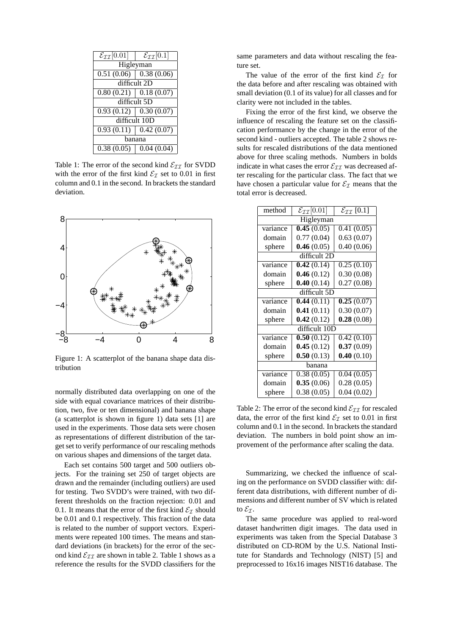| $\mathcal{E}_{\mathcal{II}}[0.01]$  | $\mathcal{E}_{\mathcal{II}}[0.1]$ |  |
|-------------------------------------|-----------------------------------|--|
| Higleyman                           |                                   |  |
| $0.51(0.06)$ 0.38 (0.06)            |                                   |  |
| difficult 2D                        |                                   |  |
| $0.80(0.21)$ 0.18 (0.07)            |                                   |  |
| difficult 5D                        |                                   |  |
| $\overline{0.93(0.12)}$ 0.30 (0.07) |                                   |  |
| difficult 10D                       |                                   |  |
| $0.93(0.11)$ 0.42 (0.07)            |                                   |  |
| hanana                              |                                   |  |
| $0.38(0.05)$ 0.04 (0.04)            |                                   |  |

Table 1: The error of the second kind  $\mathcal{E}_{\mathcal{I}\mathcal{I}}$  for SVDD with the error of the first kind  $\mathcal{E}_I$  set to 0.01 in first column and 0.1 in the second. In brackets the standard deviation.



Figure 1: A scatterplot of the banana shape data distribution

normally distributed data overlapping on one of the side with equal covariance matrices of their distribution, two, five or ten dimensional) and banana shape (a scatterplot is shown in figure 1) data sets [1] are used in the experiments. Those data sets were chosen as representations of different distribution of the target set to verify performance of our rescaling methods on various shapes and dimensions of the target data.

Each set contains 500 target and 500 outliers objects. For the training set 250 of target objects are drawn and the remainder (including outliers) are used for testing. Two SVDD's were trained, with two different thresholds on the fraction rejection: 0.01 and 0.1. It means that the error of the first kind  $\mathcal{E}_{\tau}$  should be 0.01 and 0.1 respectively. This fraction of the data is related to the number of support vectors. Experiments were repeated 100 times. The means and standard deviations (in brackets) for the error of the second kind  $\mathcal{E}_{II}$  are shown in table 2. Table 1 shows as a reference the results for the SVDD classifiers for the same parameters and data without rescaling the feature set.

The value of the error of the first kind  $\mathcal{E}_{\mathcal{I}}$  for the data before and after rescaling was obtained with small deviation (0.1 of its value) for all classes and for clarity were not included in the tables.

Fixing the error of the first kind, we observe the influence of rescaling the feature set on the classification performance by the change in the error of the second kind - outliers accepted. The table 2 shows results for rescaled distributions of the data mentioned above for three scaling methods. Numbers in bolds indicate in what cases the error  $\mathcal{E}_{\mathcal{II}}$  was decreased after rescaling for the particular class. The fact that we have chosen a particular value for  $\mathcal{E}_\mathcal{I}$  means that the total error is decreased.

| method       | $\mathcal{E}_{\mathcal{II}}[0.01]$ | $\mathcal{E}_{\mathcal{II}}$ [0.1] |  |
|--------------|------------------------------------|------------------------------------|--|
| Higleyman    |                                    |                                    |  |
| variance     | 0.45(0.05)                         | 0.41(0.05)                         |  |
| domain       | 0.77(0.04)                         | 0.63(0.07)                         |  |
| sphere       | 0.46(0.05)                         | 0.40(0.06)                         |  |
| difficult 2D |                                    |                                    |  |
| variance     | 0.42(0.14)                         | 0.25(0.10)                         |  |
| domain       | 0.46(0.12)                         | 0.30(0.08)                         |  |
| sphere       | 0.40(0.14)                         | 0.27(0.08)                         |  |
| difficult 5D |                                    |                                    |  |
| variance     | 0.44(0.11)                         | 0.25(0.07)                         |  |
| domain       | 0.41(0.11)                         | 0.30(0.07)                         |  |
| sphere       | 0.42(0.12)                         | 0.28(0.08)                         |  |
|              | difficult 10D                      |                                    |  |
| variance     | 0.50(0.12)                         | 0.42(0.10)                         |  |
| domain       | 0.45(0.12)                         | 0.37(0.09)                         |  |
| sphere       | 0.50(0.13)                         | 0.40(0.10)                         |  |
| banana       |                                    |                                    |  |
| variance     | 0.38(0.05)                         | 0.04(0.05)                         |  |
| domain       | 0.35(0.06)                         | 0.28(0.05)                         |  |
| sphere       | 0.38(0.05)                         | 0.04(0.02)                         |  |

Table 2: The error of the second kind  $\mathcal{E}_{\mathcal{II}}$  for rescaled data, the error of the first kind  $\mathcal{E}_{\mathcal{I}}$  set to 0.01 in first column and 0.1 in the second. In brackets the standard deviation. The numbers in bold point show an improvement of the performance after scaling the data.

Summarizing, we checked the influence of scaling on the performance on SVDD classifier with: different data distributions, with different number of dimensions and different number of SV which is related to  $\mathcal{E}_{\mathcal{I}}$ .

The same procedure was applied to real-word dataset handwritten digit images. The data used in experiments was taken from the Special Database 3 distributed on CD-ROM by the U.S. National Institute for Standards and Technology (NIST) [5] and preprocessed to 16x16 images NIST16 database. The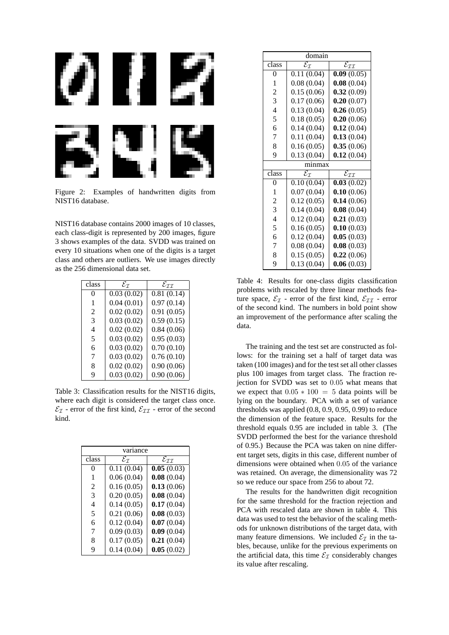

Figure 2: Examples of handwritten digits from NIST16 database.

NIST16 database contains 2000 images of 10 classes, each class-digit is represented by 200 images, figure 3 shows examples of the data. SVDD was trained on every 10 situations when one of the digits is a target class and others are outliers. We use images directly as the 256 dimensional data set.

| class | $\mathcal{E}_{\mathcal{I}}$ | $\mathcal{E}_{\mathcal{I}\mathcal{I}}$ |
|-------|-----------------------------|----------------------------------------|
| 0     | 0.03(0.02)                  | 0.81(0.14)                             |
| 1     | 0.04(0.01)                  | 0.97(0.14)                             |
| 2     | 0.02(0.02)                  | 0.91(0.05)                             |
| 3     | 0.03(0.02)                  | 0.59(0.15)                             |
| 4     | 0.02(0.02)                  | 0.84(0.06)                             |
| 5     | 0.03(0.02)                  | 0.95(0.03)                             |
| 6     | 0.03(0.02)                  | 0.70(0.10)                             |
| 7     | 0.03(0.02)                  | 0.76(0.10)                             |
| 8     | 0.02(0.02)                  | 0.90(0.06)                             |
| 9     | 0.03(0.02)                  | 0.90(0.06)                             |

Table 3: Classification results for the NIST16 digits, where each digit is considered the target class once.  $\mathcal{E}_I$  - error of the first kind,  $\mathcal{E}_{II}$  - error of the second kind.

| variance |                             |                                        |
|----------|-----------------------------|----------------------------------------|
| class    | $\mathcal{E}_{\mathcal{T}}$ | $\mathcal{E}_{\mathcal{I}\mathcal{I}}$ |
|          | 0.11(0.04)                  | 0.05(0.03)                             |
|          | 0.06(0.04)                  | 0.08(0.04)                             |
| 2        | 0.16(0.05)                  | 0.13(0.06)                             |
| 3        | 0.20(0.05)                  | 0.08(0.04)                             |
| 4        | 0.14(0.05)                  | 0.17(0.04)                             |
| 5        | 0.21(0.06)                  | 0.08(0.03)                             |
| 6        | 0.12(0.04)                  | 0.07(0.04)                             |
| 7        | 0.09(0.03)                  | 0.09(0.04)                             |
| 8        | 0.17(0.05)                  | 0.21(0.04)                             |
| q        | 0.14(0.04)                  | 0.05(0.02)                             |

| domain         |                                        |                                                   |
|----------------|----------------------------------------|---------------------------------------------------|
| class          | $\overline{\mathcal{E}_{\mathcal{I}}}$ | $\overline{\mathcal{E}}_{\mathcal{I}\mathcal{I}}$ |
| $\overline{0}$ | 0.11(0.04)                             | 0.09(0.05)                                        |
| 1              | 0.08(0.04)                             | 0.08(0.04)                                        |
| $\overline{c}$ | 0.15(0.06)                             | 0.32(0.09)                                        |
| 3              | 0.17(0.06)                             | 0.20(0.07)                                        |
| 4              | 0.13(0.04)                             | 0.26(0.05)                                        |
| 5              | 0.18(0.05)                             | 0.20(0.06)                                        |
| 6              | 0.14(0.04)                             | 0.12(0.04)                                        |
| 7              | 0.11(0.04)                             | 0.13(0.04)                                        |
| 8              | 0.16(0.05)                             | 0.35(0.06)                                        |
| 9              | 0.13(0.04)                             | 0.12(0.04)                                        |
| minmax         |                                        |                                                   |
| class          | $\overline{\mathcal{E}}_{\mathcal{I}}$ | $\mathcal{E}_{\mathcal{II}}$                      |
| 0              | 0.10(0.04)                             | 0.03(0.02)                                        |
| 1              | 0.07(0.04)                             | 0.10(0.06)                                        |
| $\overline{2}$ | 0.12(0.05)                             | 0.14(0.06)                                        |
| 3              | 0.14(0.04)                             | 0.08(0.04)                                        |
| $\overline{4}$ | 0.12(0.04)                             | 0.21(0.03)                                        |
| 5              | 0.16(0.05)                             | 0.10(0.03)                                        |
| 6              | 0.12(0.04)                             | 0.05(0.03)                                        |
| 7              | 0.08(0.04)                             | 0.08(0.03)                                        |
| 8              | 0.15(0.05)                             | 0.22(0.06)                                        |
| 9              | 0.13(0.04)                             | 0.06(0.03)                                        |

Table 4: Results for one-class digits classification problems with rescaled by three linear methods feature space,  $\mathcal{E}_I$  - error of the first kind,  $\mathcal{E}_{II}$  - error of the second kind. The numbers in bold point show an improvement of the performance after scaling the data.

The training and the test set are constructed as follows: for the training set a half of target data was taken (100 images) and for the test set all other classes plus 100 images from target class. The fraction rejection for SVDD was set to 0.05 what means that we expect that  $0.05 * 100 = 5$  data points will be lying on the boundary. PCA with a set of variance thresholds was applied  $(0.8, 0.9, 0.95, 0.99)$  to reduce the dimension of the feature space. Results for the threshold equals 0.95 are included in table 3. (The SVDD performed the best for the variance threshold of 0.95.) Because the PCA was taken on nine different target sets, digits in this case, different number of dimensions were obtained when 0.05 of the variance was retained. On average, the dimensionality was 72 so we reduce our space from 256 to about 72.

The results for the handwritten digit recognition for the same threshold for the fraction rejection and PCA with rescaled data are shown in table 4. This data was used to test the behavior of the scaling methods for unknown distributions of the target data, with many feature dimensions. We included  $\mathcal{E}_{\mathcal{I}}$  in the tables, because, unlike for the previous experiments on the artificial data, this time  $\mathcal{E}_I$  considerably changes its value after rescaling.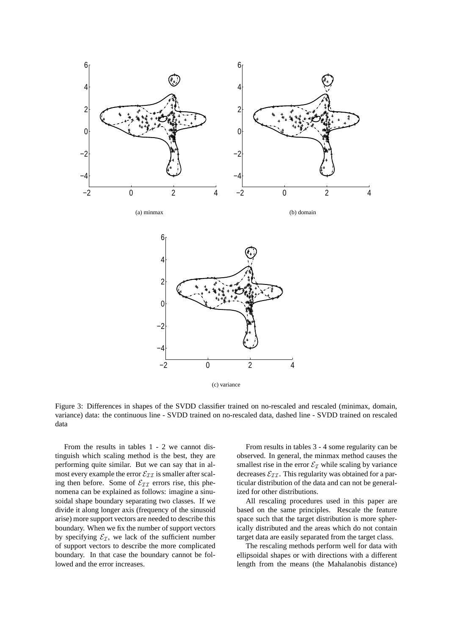

Figure 3: Differences in shapes of the SVDD classifier trained on no-rescaled and rescaled (minimax, domain, variance) data: the continuous line - SVDD trained on no-rescaled data, dashed line - SVDD trained on rescaled data

From the results in tables 1 - 2 we cannot distinguish which scaling method is the best, they are performing quite similar. But we can say that in almost every example the error  $\mathcal{E}_{\mathcal{I}\mathcal{I}}$  is smaller after scaling then before. Some of  $\mathcal{E}_{\mathcal{I}\mathcal{I}}$  errors rise, this phenomena can be explained as follows: imagine a sinusoidal shape boundary separating two classes. If we divide it along longer axis (frequency of the sinusoid arise) more support vectors are needed to describe this boundary. When we fix the number of support vectors by specifying  $\mathcal{E}_\mathcal{I}$ , we lack of the sufficient number of support vectors to describe the more complicated boundary. In that case the boundary cannot be followed and the error increases.

From results in tables 3 - 4 some regularity can be observed. In general, the minmax method causes the smallest rise in the error  $\mathcal{E}_\mathcal{I}$  while scaling by variance decreases  $\mathcal{E}_{II}$ . This regularity was obtained for a particular distribution of the data and can not be generalized for other distributions.

All rescaling procedures used in this paper are based on the same principles. Rescale the feature space such that the target distribution is more spherically distributed and the areas which do not contain target data are easily separated from the target class.

The rescaling methods perform well for data with ellipsoidal shapes or with directions with a different length from the means (the Mahalanobis distance)